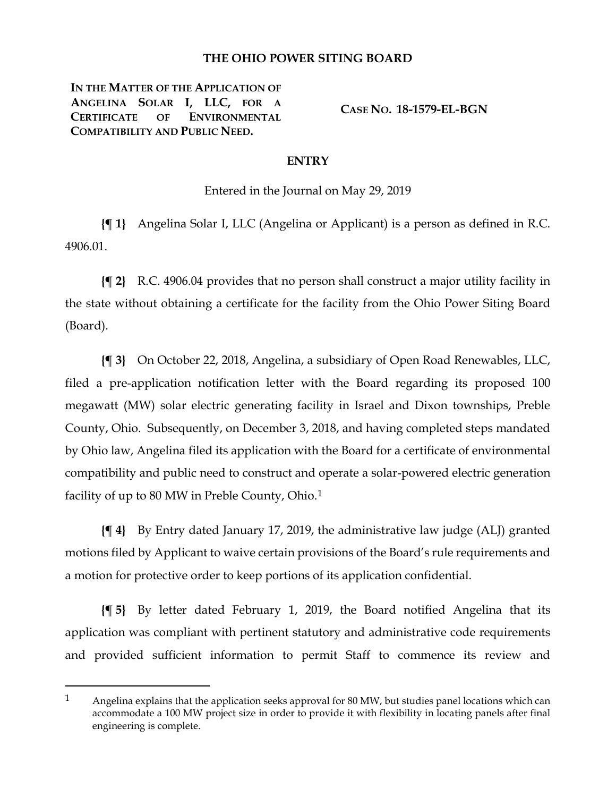## **THE OHIO POWER SITING BOARD**

**IN THE MATTER OF THE APPLICATION OF ANGELINA SOLAR I, LLC, FOR A CERTIFICATE OF ENVIRONMENTAL COMPATIBILITY AND PUBLIC NEED.**

 $\overline{a}$ 

**CASE NO. 18-1579-EL-BGN**

## **ENTRY**

Entered in the Journal on May 29, 2019

**{¶ 1}** Angelina Solar I, LLC (Angelina or Applicant) is a person as defined in R.C. 4906.01.

**{¶ 2}** R.C. 4906.04 provides that no person shall construct a major utility facility in the state without obtaining a certificate for the facility from the Ohio Power Siting Board (Board).

**{¶ 3}** On October 22, 2018, Angelina, a subsidiary of Open Road Renewables, LLC, filed a pre-application notification letter with the Board regarding its proposed 100 megawatt (MW) solar electric generating facility in Israel and Dixon townships, Preble County, Ohio. Subsequently, on December 3, 2018, and having completed steps mandated by Ohio law, Angelina filed its application with the Board for a certificate of environmental compatibility and public need to construct and operate a solar-powered electric generation facility of up to 80 MW in Preble County, Ohio.<sup>[1](#page-0-0)</sup>

**{¶ 4}** By Entry dated January 17, 2019, the administrative law judge (ALJ) granted motions filed by Applicant to waive certain provisions of the Board's rule requirements and a motion for protective order to keep portions of its application confidential.

**{¶ 5}** By letter dated February 1, 2019, the Board notified Angelina that its application was compliant with pertinent statutory and administrative code requirements and provided sufficient information to permit Staff to commence its review and

<span id="page-0-0"></span><sup>1</sup> Angelina explains that the application seeks approval for 80 MW, but studies panel locations which can accommodate a 100 MW project size in order to provide it with flexibility in locating panels after final engineering is complete.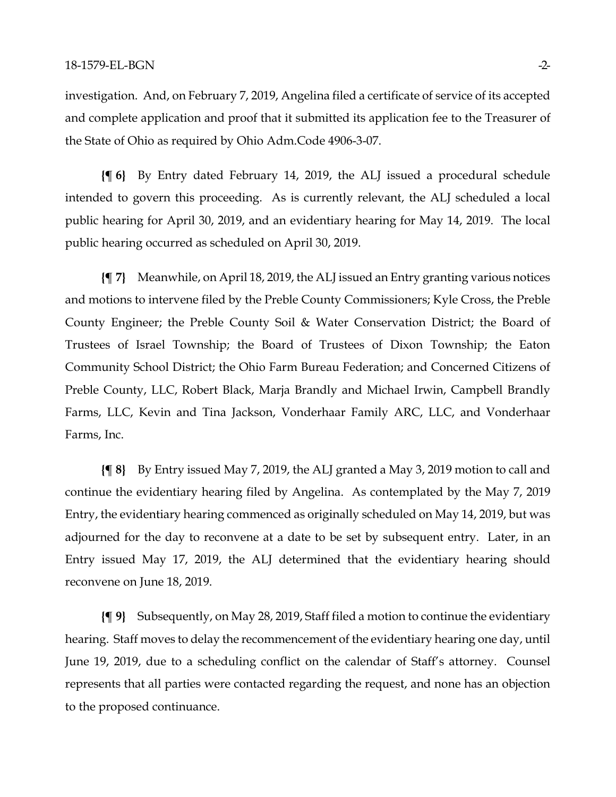investigation. And, on February 7, 2019, Angelina filed a certificate of service of its accepted and complete application and proof that it submitted its application fee to the Treasurer of the State of Ohio as required by Ohio Adm.Code 4906-3-07.

**{¶ 6}** By Entry dated February 14, 2019, the ALJ issued a procedural schedule intended to govern this proceeding. As is currently relevant, the ALJ scheduled a local public hearing for April 30, 2019, and an evidentiary hearing for May 14, 2019. The local public hearing occurred as scheduled on April 30, 2019.

**{¶ 7}** Meanwhile, on April 18, 2019, the ALJ issued an Entry granting various notices and motions to intervene filed by the Preble County Commissioners; Kyle Cross, the Preble County Engineer; the Preble County Soil & Water Conservation District; the Board of Trustees of Israel Township; the Board of Trustees of Dixon Township; the Eaton Community School District; the Ohio Farm Bureau Federation; and Concerned Citizens of Preble County, LLC, Robert Black, Marja Brandly and Michael Irwin, Campbell Brandly Farms, LLC, Kevin and Tina Jackson, Vonderhaar Family ARC, LLC, and Vonderhaar Farms, Inc.

**{¶ 8}** By Entry issued May 7, 2019, the ALJ granted a May 3, 2019 motion to call and continue the evidentiary hearing filed by Angelina. As contemplated by the May 7, 2019 Entry, the evidentiary hearing commenced as originally scheduled on May 14, 2019, but was adjourned for the day to reconvene at a date to be set by subsequent entry. Later, in an Entry issued May 17, 2019, the ALJ determined that the evidentiary hearing should reconvene on June 18, 2019.

**{¶ 9}** Subsequently, on May 28, 2019, Staff filed a motion to continue the evidentiary hearing. Staff moves to delay the recommencement of the evidentiary hearing one day, until June 19, 2019, due to a scheduling conflict on the calendar of Staff's attorney. Counsel represents that all parties were contacted regarding the request, and none has an objection to the proposed continuance.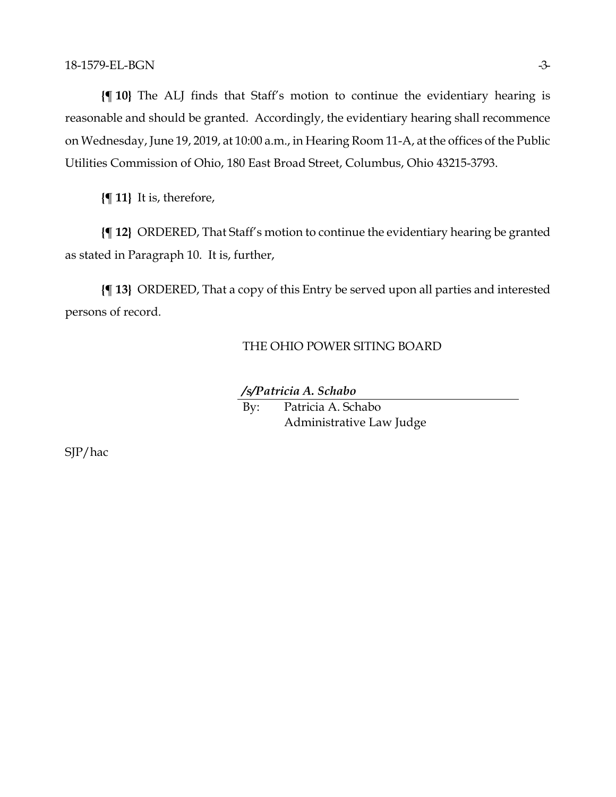**{¶ 10}** The ALJ finds that Staff's motion to continue the evidentiary hearing is reasonable and should be granted. Accordingly, the evidentiary hearing shall recommence on Wednesday, June 19, 2019, at 10:00 a.m., in Hearing Room 11-A, at the offices of the Public Utilities Commission of Ohio, 180 East Broad Street, Columbus, Ohio 43215-3793.

**{¶ 11}** It is, therefore,

**{¶ 12}** ORDERED, That Staff's motion to continue the evidentiary hearing be granted as stated in Paragraph 10. It is, further,

**{¶ 13}** ORDERED, That a copy of this Entry be served upon all parties and interested persons of record.

## THE OHIO POWER SITING BOARD

## */s/Patricia A. Schabo*

By: Patricia A. Schabo Administrative Law Judge

SJP/hac